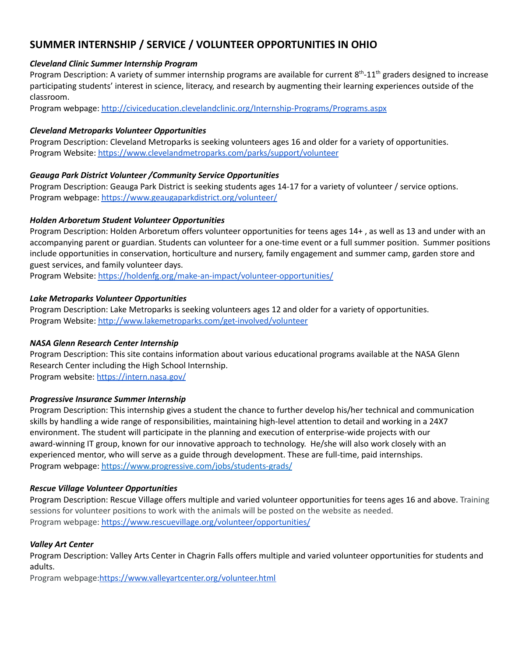# **SUMMER INTERNSHIP / SERVICE / VOLUNTEER OPPORTUNITIES IN OHIO**

#### *Cleveland Clinic Summer Internship Program*

Program Description: A variety of summer internship programs are available for current 8<sup>th</sup>-11<sup>th</sup> graders designed to increase participating students' interest in science, literacy, and research by augmenting their learning experiences outside of the classroom.

Program webpage: <http://civiceducation.clevelandclinic.org/Internship-Programs/Programs.aspx>

#### *Cleveland Metroparks Volunteer Opportunities*

Program Description: Cleveland Metroparks is seeking volunteers ages 16 and older for a variety of opportunities. Program Website: <https://www.clevelandmetroparks.com/parks/support/volunteer>

### *Geauga Park District Volunteer /Community Service Opportunities*

Program Description: Geauga Park District is seeking students ages 14-17 for a variety of volunteer / service options. Program webpage: <https://www.geaugaparkdistrict.org/volunteer/>

### *Holden Arboretum Student Volunteer Opportunities*

Program Description: Holden Arboretum offers volunteer opportunities for teens ages 14+ , as well as 13 and under with an accompanying parent or guardian. Students can volunteer for a one-time event or a full summer position. Summer positions include opportunities in conservation, horticulture and nursery, family engagement and summer camp, garden store and guest services, and family volunteer days.

Program Website: <https://holdenfg.org/make-an-impact/volunteer-opportunities/>

#### *Lake Metroparks Volunteer Opportunities*

Program Description: Lake Metroparks is seeking volunteers ages 12 and older for a variety of opportunities. Program Website: <http://www.lakemetroparks.com/get-involved/volunteer>

#### *NASA Glenn Research Center Internship*

Program Description: This site contains information about various educational programs available at the NASA Glenn Research Center including the High School Internship.

Program website: <https://intern.nasa.gov/>

#### *Progressive Insurance Summer Internship*

Program Description: This internship gives a student the chance to further develop his/her technical and communication skills by handling a wide range of responsibilities, maintaining high-level attention to detail and working in a 24X7 environment. The student will participate in the planning and execution of enterprise-wide projects with our award-winning IT group, known for our innovative approach to technology. He/she will also work closely with an experienced mentor, who will serve as a guide through development. These are full-time, paid internships. Program webpage: <https://www.progressive.com/jobs/students-grads/>

#### *Rescue Village Volunteer Opportunities*

Program Description: Rescue Village offers multiple and varied volunteer opportunities for teens ages 16 and above. Training sessions for volunteer positions to work with the animals will be posted on the website as needed. Program webpage: <https://www.rescuevillage.org/volunteer/opportunities/>

## *Valley Art Center*

Program Description: Valley Arts Center in Chagrin Falls offers multiple and varied volunteer opportunities for students and adults.

Program webpage:<https://www.valleyartcenter.org/volunteer.html>